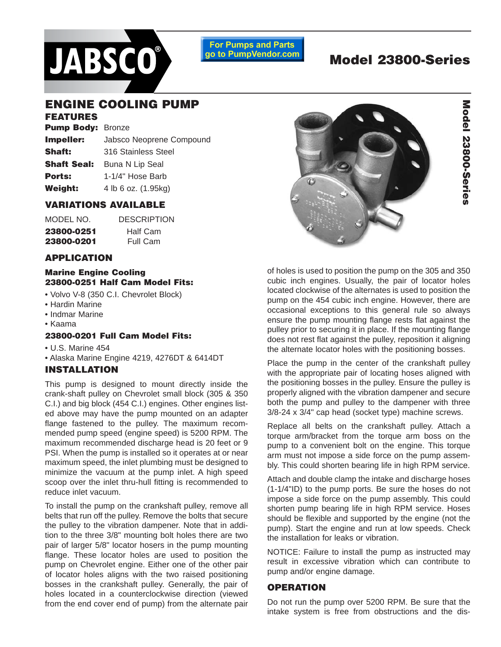

**For Pumps and Parts** go to PumpVendor.com

# **Model 23800-Series**

# **ENGINE COOLING PUMP**

# **FEATURES**

| <b>Pump Body: Bronze</b> |                          |
|--------------------------|--------------------------|
| Impeller:                | Jabsco Neoprene Compound |
| <b>Shaft:</b>            | 316 Stainless Steel      |
| <b>Shaft Seal:</b>       | <b>Buna N Lip Seal</b>   |
| <b>Ports:</b>            | 1-1/4" Hose Barb         |
| Weight:                  | 4 lb 6 oz. (1.95kg)      |
|                          |                          |

#### **VARIATIONS AVAILABLE**

| MODEL NO.  | <b>DESCRIPTION</b> |
|------------|--------------------|
| 23800-0251 | Half Cam           |
| 23800-0201 | Full Cam           |

#### **APPLICATION**

#### **Marine Engine Cooling 23800-0251 Half Cam Model Fits:**

- Volvo V-8 (350 C.I. Chevrolet Block)
- Hardin Marine
- Indmar Marine
- Kaama

# **23800-0201 Full Cam Model Fits:**

- U.S. Marine 454
- Alaska Marine Engine 4219, 4276DT & 6414DT

# **INSTALLATION**

This pump is designed to mount directly inside the crank-shaft pulley on Chevrolet small block (305 & 350 C.I.) and big block (454 C.I.) engines. Other engines listed above may have the pump mounted on an adapter flange fastened to the pulley. The maximum recommended pump speed (engine speed) is 5200 RPM. The maximum recommended discharge head is 20 feet or 9 PSI. When the pump is installed so it operates at or near maximum speed, the inlet plumbing must be designed to minimize the vacuum at the pump inlet. A high speed scoop over the inlet thru-hull fitting is recommended to reduce inlet vacuum.

To install the pump on the crankshaft pulley, remove all belts that run off the pulley. Remove the bolts that secure the pulley to the vibration dampener. Note that in addition to the three 3/8" mounting bolt holes there are two pair of larger 5/8" locator hosers in the pump mounting flange. These locator holes are used to position the pump on Chevrolet engine. Either one of the other pair of locator holes aligns with the two raised positioning bosses in the crankshaft pulley. Generally, the pair of holes located in a counterclockwise direction (viewed from the end cover end of pump) from the alternate pair



of holes is used to position the pump on the 305 and 350 cubic inch engines. Usually, the pair of locator holes located clockwise of the alternates is used to position the pump on the 454 cubic inch engine. However, there are occasional exceptions to this general rule so always ensure the pump mounting flange rests flat against the pulley prior to securing it in place. If the mounting flange does not rest flat against the pulley, reposition it aligning the alternate locator holes with the positioning bosses.

Place the pump in the center of the crankshaft pulley with the appropriate pair of locating hoses aligned with the positioning bosses in the pulley. Ensure the pulley is properly aligned with the vibration dampener and secure both the pump and pulley to the dampener with three 3/8-24 x 3/4" cap head (socket type) machine screws.

Replace all belts on the crankshaft pulley. Attach a torque arm/bracket from the torque arm boss on the pump to a convenient bolt on the engine. This torque arm must not impose a side force on the pump assembly. This could shorten bearing life in high RPM service.

Attach and double clamp the intake and discharge hoses (1-1/4"ID) to the pump ports. Be sure the hoses do not impose a side force on the pump assembly. This could shorten pump bearing life in high RPM service. Hoses should be flexible and supported by the engine (not the pump). Start the engine and run at low speeds. Check the installation for leaks or vibration.

NOTICE: Failure to install the pump as instructed may result in excessive vibration which can contribute to pump and/or engine damage.

# **OPERATION**

Do not run the pump over 5200 RPM. Be sure that the intake system is free from obstructions and the dis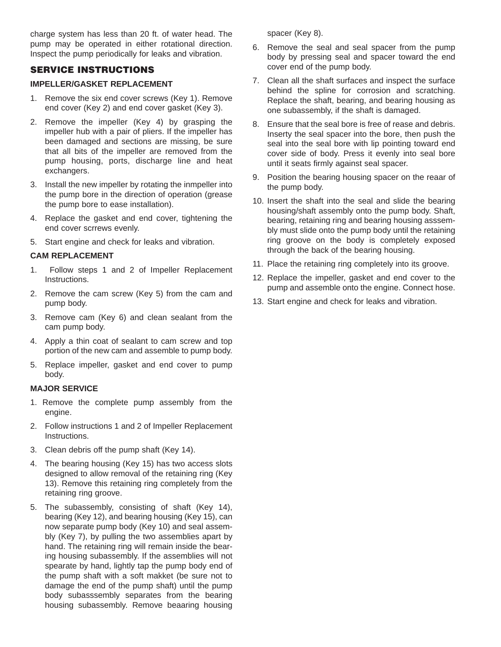charge system has less than 20 ft. of water head. The pump may be operated in either rotational direction. Inspect the pump periodically for leaks and vibration.

# **SERVICE INSTRUCTIONS**

# **IMPELLER/GASKET REPLACEMENT**

- 1. Remove the six end cover screws (Key 1). Remove end cover (Key 2) and end cover gasket (Key 3).
- 2. Remove the impeller (Key 4) by grasping the impeller hub with a pair of pliers. If the impeller has been damaged and sections are missing, be sure that all bits of the impeller are removed from the pump housing, ports, discharge line and heat exchangers.
- 3. Install the new impeller by rotating the inmpeller into the pump bore in the direction of operation (grease the pump bore to ease installation).
- 4. Replace the gasket and end cover, tightening the end cover scrrews evenly.
- 5. Start engine and check for leaks and vibration.

# **CAM REPLACEMENT**

- 1. Follow steps 1 and 2 of Impeller Replacement Instructions.
- 2. Remove the cam screw (Key 5) from the cam and pump body.
- 3. Remove cam (Key 6) and clean sealant from the cam pump body.
- 4. Apply a thin coat of sealant to cam screw and top portion of the new cam and assemble to pump body.
- 5. Replace impeller, gasket and end cover to pump body.

# **MAJOR SERVICE**

- 1. Remove the complete pump assembly from the engine.
- 2. Follow instructions 1 and 2 of Impeller Replacement Instructions.
- 3. Clean debris off the pump shaft (Key 14).
- 4. The bearing housing (Key 15) has two access slots designed to allow removal of the retaining ring (Key 13). Remove this retaining ring completely from the retaining ring groove.
- 5. The subassembly, consisting of shaft (Key 14), bearing (Key 12), and bearing housing (Key 15), can now separate pump body (Key 10) and seal assembly (Key 7), by pulling the two assemblies apart by hand. The retaining ring will remain inside the bearing housing subassembly. If the assemblies will not spearate by hand, lightly tap the pump body end of the pump shaft with a soft makket (be sure not to damage the end of the pump shaft) until the pump body subasssembly separates from the bearing housing subassembly. Remove beaaring housing

spacer (Key 8).

- 6. Remove the seal and seal spacer from the pump body by pressing seal and spacer toward the end cover end of the pump body.
- 7. Clean all the shaft surfaces and inspect the surface behind the spline for corrosion and scratching. Replace the shaft, bearing, and bearing housing as one subassembly, if the shaft is damaged.
- 8. Ensure that the seal bore is free of rease and debris. Inserty the seal spacer into the bore, then push the seal into the seal bore with lip pointing toward end cover side of body. Press it evenly into seal bore until it seats firmly against seal spacer.
- 9. Position the bearing housing spacer on the reaar of the pump body.
- 10. Insert the shaft into the seal and slide the bearing housing/shaft assembly onto the pump body. Shaft, bearing, retaining ring and bearing housing asssembly must slide onto the pump body until the retaining ring groove on the body is completely exposed through the back of the bearing housing.
- 11. Place the retaining ring completely into its groove.
- 12. Replace the impeller, gasket and end cover to the pump and assemble onto the engine. Connect hose.
- 13. Start engine and check for leaks and vibration.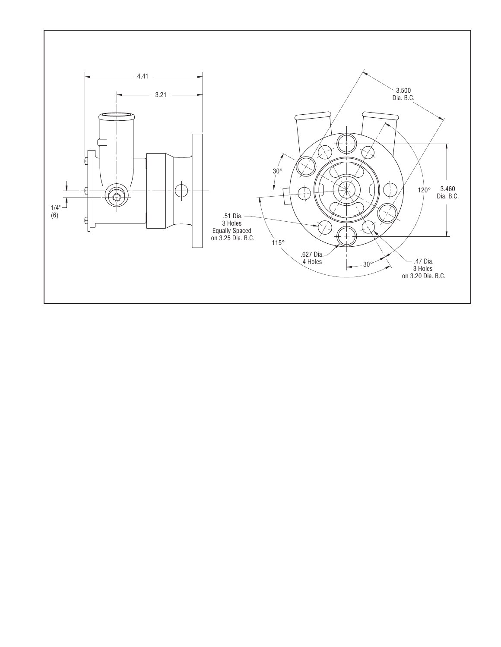